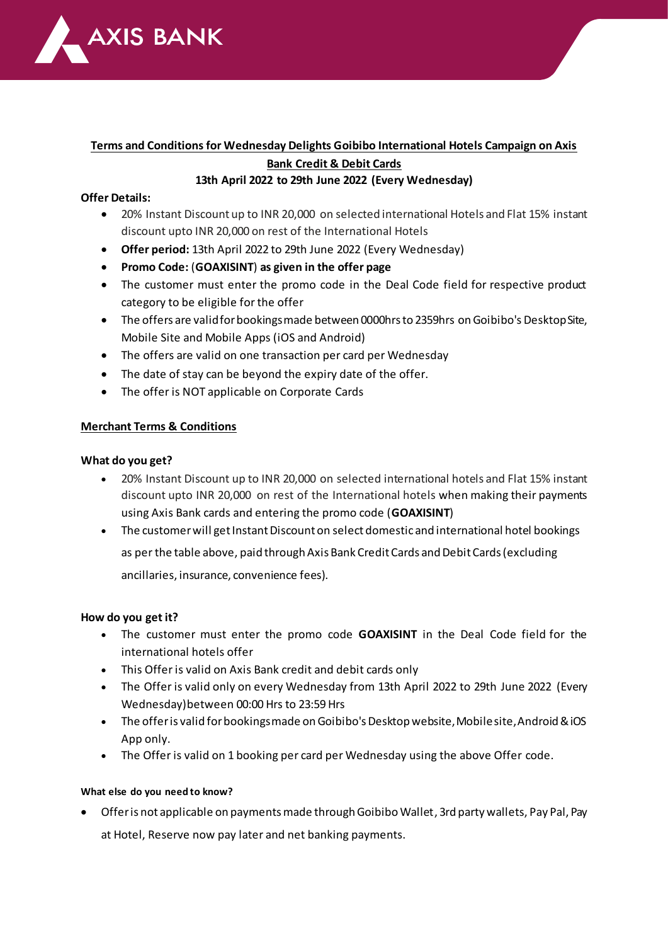

# **Terms and Conditions for Wednesday Delights Goibibo International Hotels Campaign on Axis Bank Credit & Debit Cards**

## **13th April 2022 to 29th June 2022 (Every Wednesday)**

## **Offer Details:**

- 20% Instant Discount up to INR 20,000 on selected international Hotels and Flat 15% instant discount upto INR 20,000 on rest of the International Hotels
- **Offer period:** 13th April 2022 to 29th June 2022 (Every Wednesday)
- **Promo Code:** (**GOAXISINT**) **as given in the offer page**
- The customer must enter the promo code in the Deal Code field for respective product category to be eligible for the offer
- The offers are valid for bookings made between 0000hrs to 2359hrs on Goibibo's Desktop Site, Mobile Site and Mobile Apps (iOS and Android)
- The offers are valid on one transaction per card per Wednesday
- The date of stay can be beyond the expiry date of the offer.
- The offer is NOT applicable on Corporate Cards

## **Merchant Terms & Conditions**

### **What do you get?**

- 20% Instant Discount up to INR 20,000 on selected international hotels and Flat 15% instant discount upto INR 20,000 on rest of the International hotels when making their payments using Axis Bank cards and entering the promo code (**GOAXISINT**)
- The customer will get Instant Discount on select domestic and international hotel bookings as per the table above, paid through Axis Bank Credit Cards and Debit Cards (excluding ancillaries, insurance, convenience fees).

#### **How do you get it?**

- The customer must enter the promo code **GOAXISINT** in the Deal Code field for the international hotels offer
- This Offer is valid on Axis Bank credit and debit cards only
- The Offer is valid only on every Wednesday from 13th April 2022 to 29th June 2022 (Every Wednesday)between 00:00 Hrs to 23:59 Hrs
- The offer is valid for bookings made on Goibibo's Desktop website, Mobile site, Android & iOS App only.
- The Offer is valid on 1 booking per card per Wednesday using the above Offer code.

#### **What else do you need to know?**

 Offer is not applicable on payments made through Goibibo Wallet, 3rd party wallets, Pay Pal, Pay at Hotel, Reserve now pay later and net banking payments.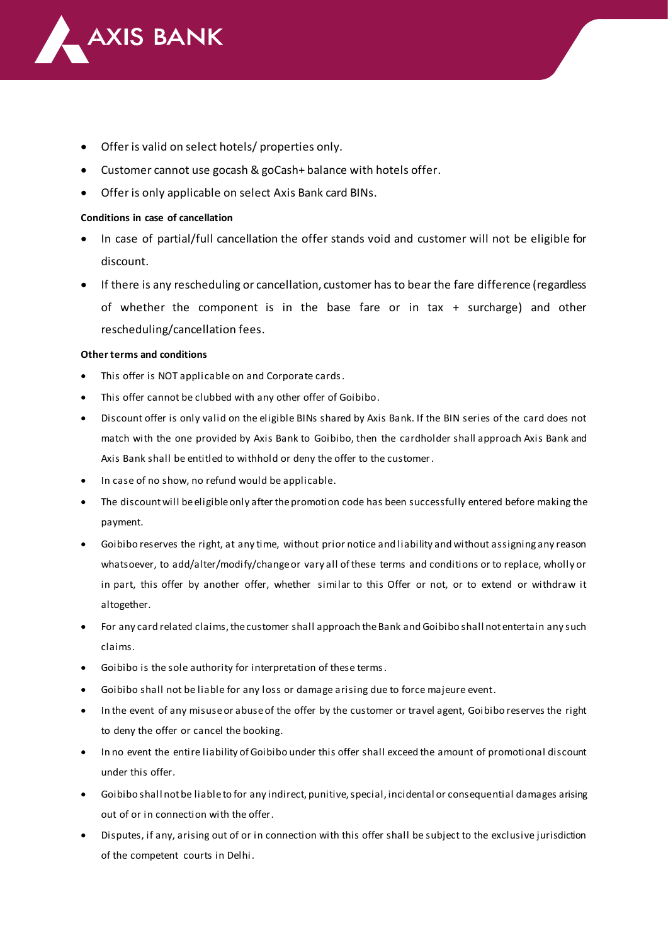

- Offer is valid on select hotels/ properties only.
- Customer cannot use gocash & goCash+ balance with hotels offer.
- Offer is only applicable on select Axis Bank card BINs.

#### **Conditions in case of cancellation**

- In case of partial/full cancellation the offer stands void and customer will not be eligible for discount.
- If there is any rescheduling or cancellation, customer has to bear the fare difference (regardless of whether the component is in the base fare or in tax + surcharge) and other rescheduling/cancellation fees.

#### **Other terms and conditions**

- This offer is NOT applicable on and Corporate cards.
- This offer cannot be clubbed with any other offer of Goibibo.
- Discount offer is only valid on the eligible BINs shared by Axis Bank. If the BIN series of the card does not match with the one provided by Axis Bank to Goibibo, then the cardholder shall approach Axis Bank and Axis Bank shall be entitled to withhold or deny the offer to the customer.
- In case of no show, no refund would be applicable.
- The discount will be eligible only after the promotion code has been successfully entered before making the payment.
- Goibibo reserves the right, at any time, without prior notice and liability and without assigning any reason whatsoever, to add/alter/modify/change or vary all of these terms and conditions or to replace, wholly or in part, this offer by another offer, whether similar to this Offer or not, or to extend or withdraw it altogether.
- For any card related claims, the customer shall approach the Bank and Goibibo shall not entertain any such claims.
- Goibibo is the sole authority for interpretation of these terms.
- Goibibo shall not be liable for any loss or damage arising due to force majeure event.
- In the event of any misuse or abuse of the offer by the customer or travel agent, Goibibo reserves the right to deny the offer or cancel the booking.
- In no event the entire liability of Goibibo under this offer shall exceed the amount of promotional discount under this offer.
- Goibibo shall not be liable to for any indirect, punitive, special, incidental or consequential damages arising out of or in connection with the offer.
- Disputes, if any, arising out of or in connection with this offer shall be subject to the exclusive jurisdiction of the competent courts in Delhi.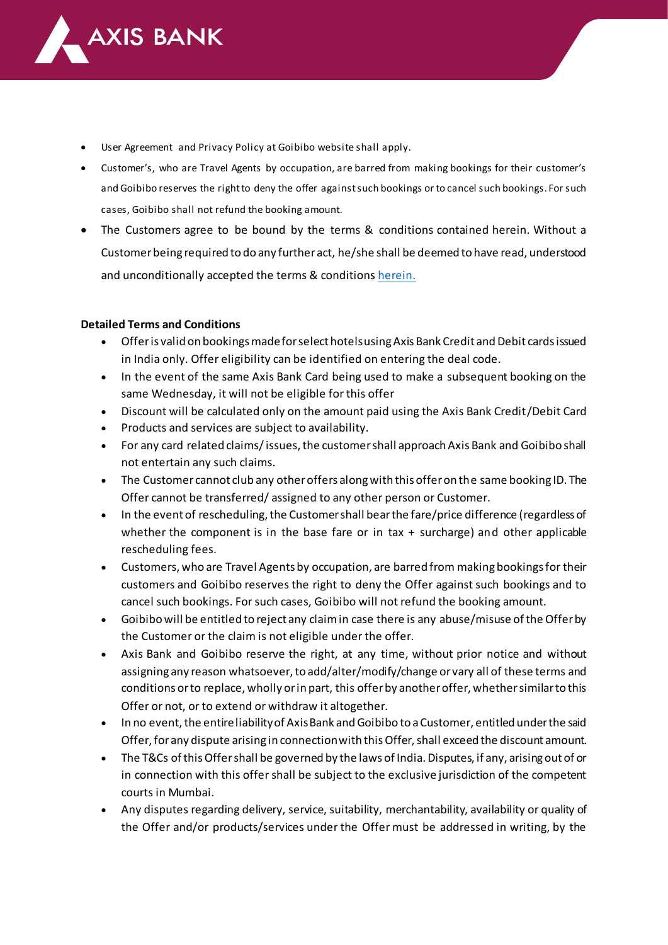

- User Agreement and Privacy Policy at Goibibo website shall apply.
- Customer's, who are Travel Agents by occupation, are barred from making bookings for their customer's and Goibibo reserves the right to deny the offer against such bookings or to cancel such bookings. For such cases, Goibibo shall not refund the booking amount.
- The Customers agree to be bound by the terms & conditions contained herein. Without a Customer being required to do any further act, he/she shall be deemed to have read, understood and unconditionally accepted the terms & conditio[ns herei](https://www.goibibo.com/info/terms-and-conditions/)n.

### **Detailed Terms and Conditions**

- Offer is valid on bookings made for select hotels using Axis Bank Credit and Debit cards issued in India only. Offer eligibility can be identified on entering the deal code.
- In the event of the same Axis Bank Card being used to make a subsequent booking on the same Wednesday, it will not be eligible for this offer
- Discount will be calculated only on the amount paid using the Axis Bank Credit/Debit Card
- Products and services are subject to availability.
- For any card related claims/ issues, the customer shall approach Axis Bank and Goibibo shall not entertain any such claims.
- The Customer cannot club any other offers along with this offer on the same booking ID. The Offer cannot be transferred/ assigned to any other person or Customer.
- In the event of rescheduling, the Customer shall bear the fare/price difference (regardless of whether the component is in the base fare or in tax  $+$  surcharge) and other applicable rescheduling fees.
- Customers, who are Travel Agents by occupation, are barred from making bookings for their customers and Goibibo reserves the right to deny the Offer against such bookings and to cancel such bookings. For such cases, Goibibo will not refund the booking amount.
- Goibibo will be entitled to reject any claim in case there is any abuse/misuse of the Offer by the Customer or the claim is not eligible under the offer.
- Axis Bank and Goibibo reserve the right, at any time, without prior notice and without assigning any reason whatsoever, to add/alter/modify/change or vary all of these terms and conditions or to replace, wholly or in part, this offer by another offer, whether similar to this Offer or not, or to extend or withdraw it altogether.
- In no event, the entire liability of Axis Bank and Goibibo to a Customer, entitled under the said Offer, for any dispute arising in connection with this Offer, shall exceed the discount amount.
- The T&Cs of this Offer shall be governed by the laws of India. Disputes, if any, arising out of or in connection with this offer shall be subject to the exclusive jurisdiction of the competent courts in Mumbai.
- Any disputes regarding delivery, service, suitability, merchantability, availability or quality of the Offer and/or products/services under the Offer must be addressed in writing, by the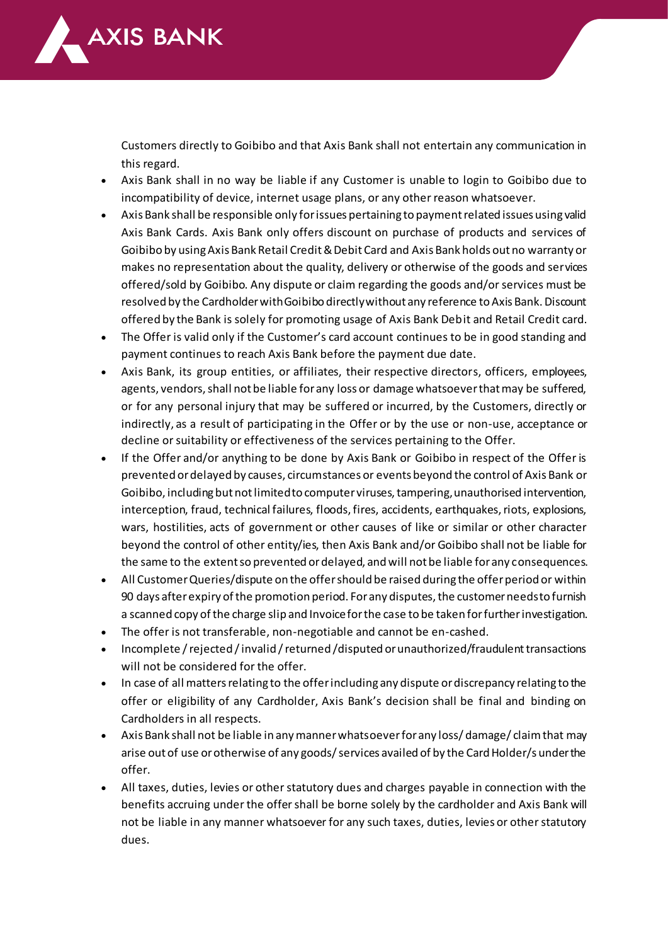

Customers directly to Goibibo and that Axis Bank shall not entertain any communication in this regard.

- Axis Bank shall in no way be liable if any Customer is unable to login to Goibibo due to incompatibility of device, internet usage plans, or any other reason whatsoever.
- Axis Bank shall be responsible only for issues pertaining to payment related issues using valid Axis Bank Cards. Axis Bank only offers discount on purchase of products and services of Goibibo by using Axis Bank Retail Credit & Debit Card and Axis Bank holds out no warranty or makes no representation about the quality, delivery or otherwise of the goods and services offered/sold by Goibibo. Any dispute or claim regarding the goods and/or services must be resolved by the Cardholder with Goibibo directly without any reference to Axis Bank. Discount offered by the Bank is solely for promoting usage of Axis Bank Debit and Retail Credit card.
- The Offer is valid only if the Customer's card account continues to be in good standing and payment continues to reach Axis Bank before the payment due date.
- Axis Bank, its group entities, or affiliates, their respective directors, officers, employees, agents, vendors, shall not be liable for any loss or damage whatsoever that may be suffered, or for any personal injury that may be suffered or incurred, by the Customers, directly or indirectly, as a result of participating in the Offer or by the use or non-use, acceptance or decline or suitability or effectiveness of the services pertaining to the Offer.
- If the Offer and/or anything to be done by Axis Bank or Goibibo in respect of the Offer is prevented or delayed by causes, circumstances or events beyond the control of Axis Bank or Goibibo, including but not limited to computer viruses, tampering, unauthorised intervention, interception, fraud, technical failures, floods, fires, accidents, earthquakes, riots, explosions, wars, hostilities, acts of government or other causes of like or similar or other character beyond the control of other entity/ies, then Axis Bank and/or Goibibo shall not be liable for the same to the extent so prevented or delayed, and will not be liable for any consequences.
- All Customer Queries/dispute on the offer should be raised during the offer period or within 90 days after expiry of the promotion period. For any disputes, the customer needs to furnish a scanned copy of the charge slip and Invoice for the case to be taken for further investigation.
- The offer is not transferable, non-negotiable and cannot be en-cashed.
- Incomplete / rejected / invalid / returned /disputed or unauthorized/fraudulent transactions will not be considered for the offer.
- In case of all matters relating to the offer including any dispute or discrepancy relating to the offer or eligibility of any Cardholder, Axis Bank's decision shall be final and binding on Cardholders in all respects.
- Axis Bank shall not be liable in any manner whatsoever for any loss/ damage/ claim that may arise out of use or otherwise of any goods/ services availed of by the Card Holder/s under the offer.
- All taxes, duties, levies or other statutory dues and charges payable in connection with the benefits accruing under the offer shall be borne solely by the cardholder and Axis Bank will not be liable in any manner whatsoever for any such taxes, duties, levies or other statutory dues.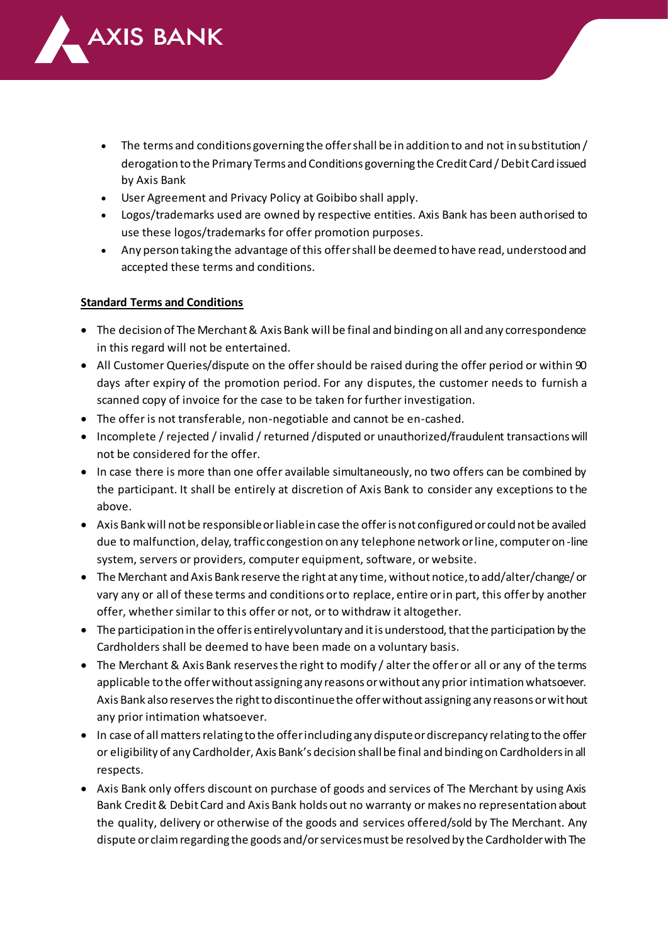

- The terms and conditions governing the offer shall be in addition to and not in substitution / derogation to the Primary Terms and Conditions governing the Credit Card / Debit Card issued by Axis Bank
- User Agreement and Privacy Policy at Goibibo shall apply.
- Logos/trademarks used are owned by respective entities. Axis Bank has been authorised to use these logos/trademarks for offer promotion purposes.
- Any person taking the advantage of this offer shall be deemed to have read, understood and accepted these terms and conditions.

## **Standard Terms and Conditions**

- The decision of The Merchant & Axis Bank will be final and binding on all and any correspondence in this regard will not be entertained.
- All Customer Queries/dispute on the offer should be raised during the offer period or within 90 days after expiry of the promotion period. For any disputes, the customer needs to furnish a scanned copy of invoice for the case to be taken for further investigation.
- The offer is not transferable, non-negotiable and cannot be en-cashed.
- Incomplete / rejected / invalid / returned /disputed or unauthorized/fraudulent transactions will not be considered for the offer.
- In case there is more than one offer available simultaneously, no two offers can be combined by the participant. It shall be entirely at discretion of Axis Bank to consider any exceptions to the above.
- Axis Bank will not be responsible or liable in case the offer is not configured or could not be availed due to malfunction, delay, traffic congestion on any telephone network or line, computer on-line system, servers or providers, computer equipment, software, or website.
- The Merchant and Axis Bank reserve the right at any time, without notice, to add/alter/change/ or vary any or all of these terms and conditions or to replace, entire or in part, this offer by another offer, whether similar to this offer or not, or to withdraw it altogether.
- The participation in the offer is entirely voluntary and it is understood, that the participation by the Cardholders shall be deemed to have been made on a voluntary basis.
- The Merchant & Axis Bank reserves the right to modify / alter the offer or all or any of the terms applicable to the offer without assigning any reasons or without any prior intimation whatsoever. Axis Bank also reserves the right to discontinue the offer without assigning any reasons or without any prior intimation whatsoever.
- In case of all matters relating to the offer including any dispute or discrepancy relating to the offer or eligibility of any Cardholder, Axis Bank's decision shall be final and binding on Cardholders in all respects.
- Axis Bank only offers discount on purchase of goods and services of The Merchant by using Axis Bank Credit & Debit Card and Axis Bank holds out no warranty or makes no representation about the quality, delivery or otherwise of the goods and services offered/sold by The Merchant. Any dispute or claim regarding the goods and/or services must be resolved by the Cardholder with The